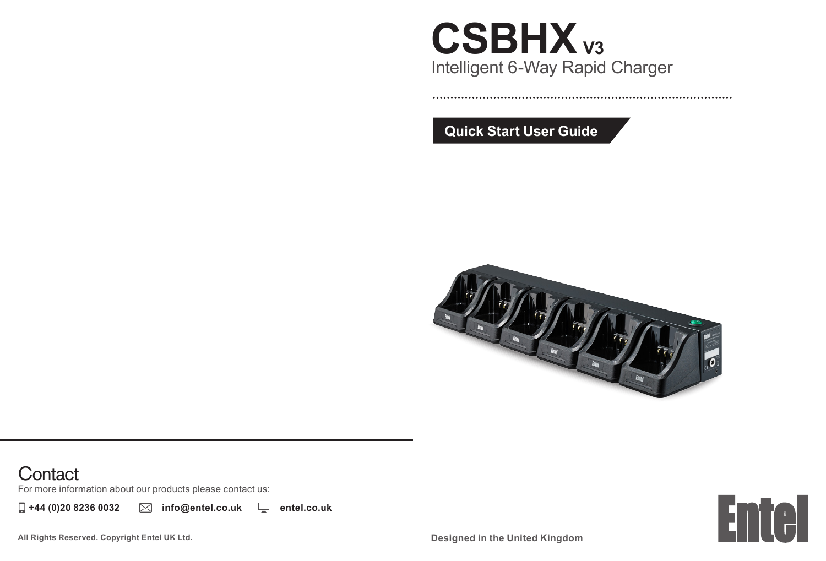## **CSBHX V3**Intelligent 6-Way Rapid Charger

**Quick Start User Guide**



### **Contact**

For more information about our products please contact us:

**+44 (0)20 8236 0032 info@entel.co.uk entel.co.uk**



**All Rights Reserved. Copyright Entel UK Ltd.**